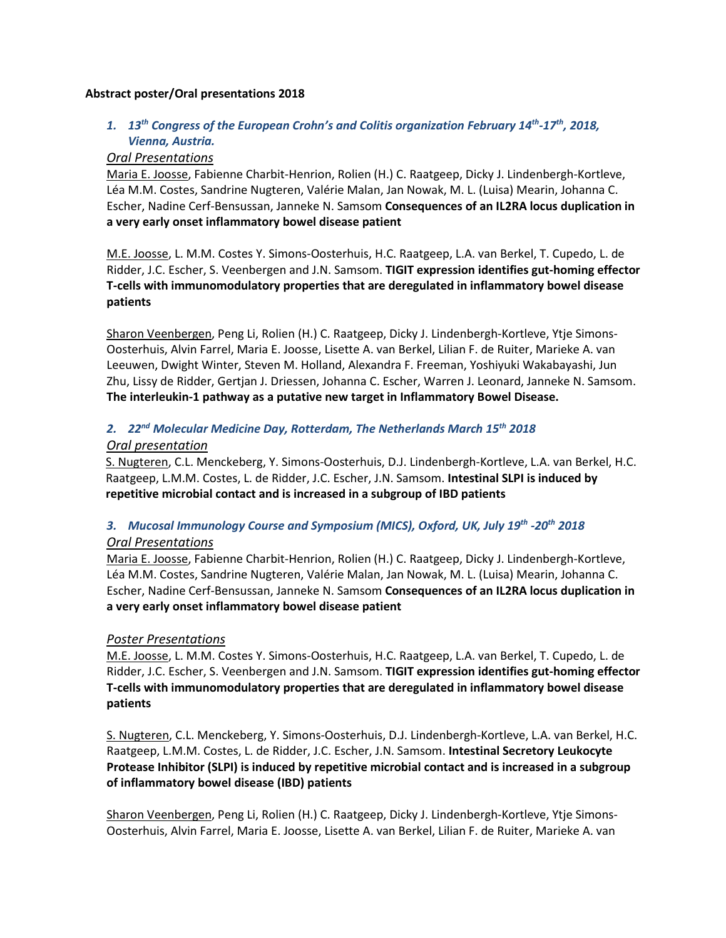#### **Abstract poster/Oral presentations 2018**

## *1. 13th Congress of the European Crohn's and Colitis organization February 14th-17th, 2018, Vienna, Austria.*

#### *Oral Presentations*

Maria E. Joosse, Fabienne Charbit-Henrion, Rolien (H.) C. Raatgeep, Dicky J. Lindenbergh-Kortleve, Léa M.M. Costes, Sandrine Nugteren, Valérie Malan, Jan Nowak, M. L. (Luisa) Mearin, Johanna C. Escher, Nadine Cerf-Bensussan, Janneke N. Samsom **Consequences of an IL2RA locus duplication in a very early onset inflammatory bowel disease patient** 

M.E. Joosse, L. M.M. Costes Y. Simons-Oosterhuis, H.C. Raatgeep, L.A. van Berkel, T. Cupedo, L. de Ridder, J.C. Escher, S. Veenbergen and J.N. Samsom. **TIGIT expression identifies gut-homing effector T-cells with immunomodulatory properties that are deregulated in inflammatory bowel disease patients**

Sharon Veenbergen, Peng Li, Rolien (H.) C. Raatgeep, Dicky J. Lindenbergh-Kortleve, Ytje Simons-Oosterhuis, Alvin Farrel, Maria E. Joosse, Lisette A. van Berkel, Lilian F. de Ruiter, Marieke A. van Leeuwen, Dwight Winter, Steven M. Holland, Alexandra F. Freeman, Yoshiyuki Wakabayashi, Jun Zhu, Lissy de Ridder, Gertjan J. Driessen, Johanna C. Escher, Warren J. Leonard, Janneke N. Samsom. **The interleukin-1 pathway as a putative new target in Inflammatory Bowel Disease.**

## *2. 22nd Molecular Medicine Day, Rotterdam, The Netherlands March 15th 2018 Oral presentation*

S. Nugteren, C.L. Menckeberg, Y. Simons-Oosterhuis, D.J. Lindenbergh-Kortleve, L.A. van Berkel, H.C. Raatgeep, L.M.M. Costes, L. de Ridder, J.C. Escher, J.N. Samsom. **Intestinal SLPI is induced by repetitive microbial contact and is increased in a subgroup of IBD patients**

# *3. Mucosal Immunology Course and Symposium (MICS), Oxford, UK, July 19th -20th 2018*

### *Oral Presentations*

Maria E. Joosse, Fabienne Charbit-Henrion, Rolien (H.) C. Raatgeep, Dicky J. Lindenbergh-Kortleve, Léa M.M. Costes, Sandrine Nugteren, Valérie Malan, Jan Nowak, M. L. (Luisa) Mearin, Johanna C. Escher, Nadine Cerf-Bensussan, Janneke N. Samsom **Consequences of an IL2RA locus duplication in a very early onset inflammatory bowel disease patient** 

### *Poster Presentations*

M.E. Joosse, L. M.M. Costes Y. Simons-Oosterhuis, H.C. Raatgeep, L.A. van Berkel, T. Cupedo, L. de Ridder, J.C. Escher, S. Veenbergen and J.N. Samsom. **TIGIT expression identifies gut-homing effector T-cells with immunomodulatory properties that are deregulated in inflammatory bowel disease patients**

S. Nugteren, C.L. Menckeberg, Y. Simons-Oosterhuis, D.J. Lindenbergh-Kortleve, L.A. van Berkel, H.C. Raatgeep, L.M.M. Costes, L. de Ridder, J.C. Escher, J.N. Samsom. **Intestinal Secretory Leukocyte Protease Inhibitor (SLPI) is induced by repetitive microbial contact and is increased in a subgroup of inflammatory bowel disease (IBD) patients**

Sharon Veenbergen, Peng Li, Rolien (H.) C. Raatgeep, Dicky J. Lindenbergh-Kortleve, Ytje Simons-Oosterhuis, Alvin Farrel, Maria E. Joosse, Lisette A. van Berkel, Lilian F. de Ruiter, Marieke A. van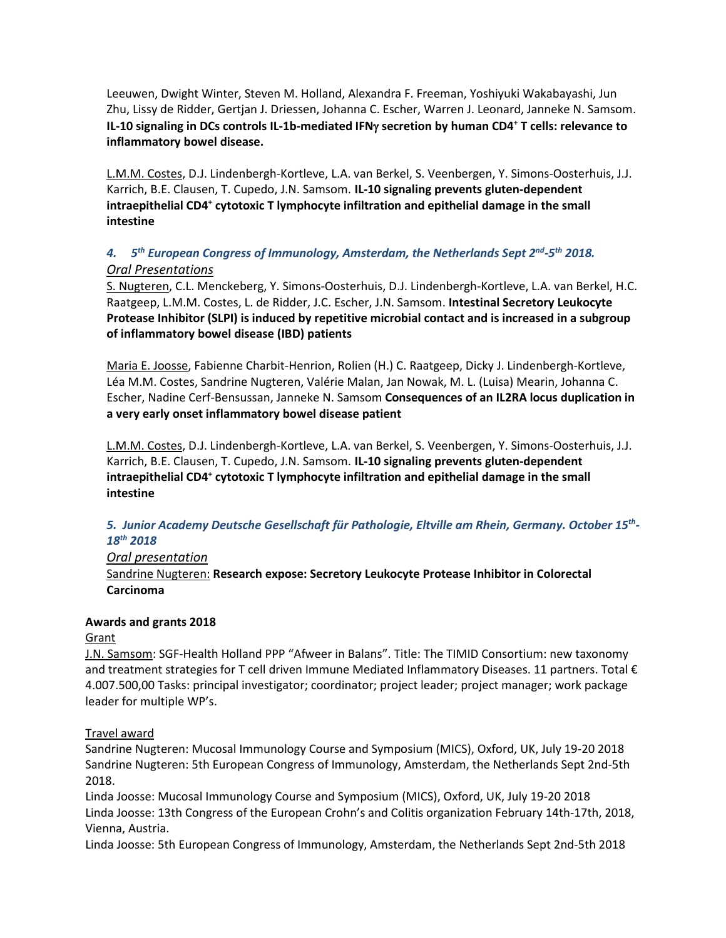Leeuwen, Dwight Winter, Steven M. Holland, Alexandra F. Freeman, Yoshiyuki Wakabayashi, Jun Zhu, Lissy de Ridder, Gertjan J. Driessen, Johanna C. Escher, Warren J. Leonard, Janneke N. Samsom. **IL-10 signaling in DCs controls IL-1b-mediated IFN**γ **secretion by human CD4+ T cells: relevance to inflammatory bowel disease.**

L.M.M. Costes, D.J. Lindenbergh-Kortleve, L.A. van Berkel, S. Veenbergen, Y. Simons-Oosterhuis, J.J. Karrich, B.E. Clausen, T. Cupedo, J.N. Samsom. **IL-10 signaling prevents gluten-dependent intraepithelial CD4+ cytotoxic T lymphocyte infiltration and epithelial damage in the small intestine**

# *4. 5th European Congress of Immunology, Amsterdam, the Netherlands Sept 2nd-5th 2018. Oral Presentations*

S. Nugteren, C.L. Menckeberg, Y. Simons-Oosterhuis, D.J. Lindenbergh-Kortleve, L.A. van Berkel, H.C. Raatgeep, L.M.M. Costes, L. de Ridder, J.C. Escher, J.N. Samsom. **Intestinal Secretory Leukocyte Protease Inhibitor (SLPI) is induced by repetitive microbial contact and is increased in a subgroup of inflammatory bowel disease (IBD) patients**

Maria E. Joosse, Fabienne Charbit-Henrion, Rolien (H.) C. Raatgeep, Dicky J. Lindenbergh-Kortleve, Léa M.M. Costes, Sandrine Nugteren, Valérie Malan, Jan Nowak, M. L. (Luisa) Mearin, Johanna C. Escher, Nadine Cerf-Bensussan, Janneke N. Samsom **Consequences of an IL2RA locus duplication in a very early onset inflammatory bowel disease patient** 

L.M.M. Costes, D.J. Lindenbergh-Kortleve, L.A. van Berkel, S. Veenbergen, Y. Simons-Oosterhuis, J.J. Karrich, B.E. Clausen, T. Cupedo, J.N. Samsom. **IL-10 signaling prevents gluten-dependent intraepithelial CD4+ cytotoxic T lymphocyte infiltration and epithelial damage in the small intestine**

# *5. Junior Academy Deutsche Gesellschaft für Pathologie, Eltville am Rhein, Germany. October 15th-18th 2018*

### *Oral presentation*

Sandrine Nugteren: **Research expose: Secretory Leukocyte Protease Inhibitor in Colorectal Carcinoma**

### **Awards and grants 2018**

### Grant

J.N. Samsom: SGF-Health Holland PPP "Afweer in Balans". Title: The TIMID Consortium: new taxonomy and treatment strategies for T cell driven Immune Mediated Inflammatory Diseases. 11 partners. Total € 4.007.500,00 Tasks: principal investigator; coordinator; project leader; project manager; work package leader for multiple WP's.

### Travel award

Sandrine Nugteren: Mucosal Immunology Course and Symposium (MICS), Oxford, UK, July 19-20 2018 Sandrine Nugteren: 5th European Congress of Immunology, Amsterdam, the Netherlands Sept 2nd-5th 2018.

Linda Joosse: Mucosal Immunology Course and Symposium (MICS), Oxford, UK, July 19-20 2018 Linda Joosse: 13th Congress of the European Crohn's and Colitis organization February 14th-17th, 2018, Vienna, Austria.

Linda Joosse: 5th European Congress of Immunology, Amsterdam, the Netherlands Sept 2nd-5th 2018